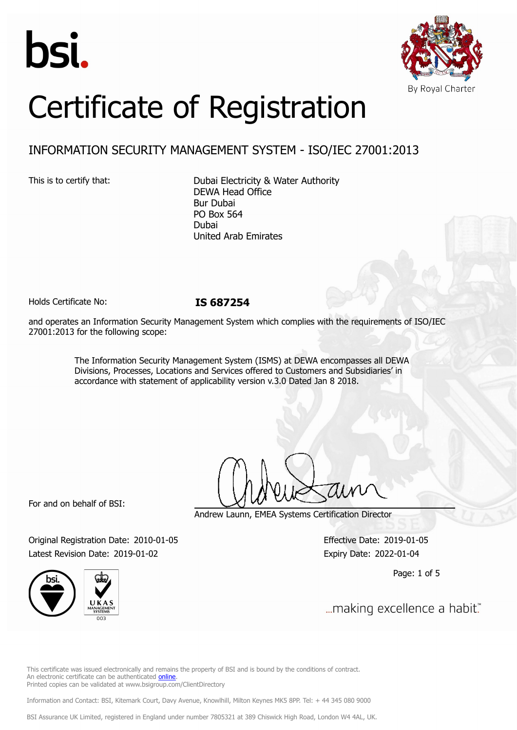



# Certificate of Registration

# INFORMATION SECURITY MANAGEMENT SYSTEM - ISO/IEC 27001:2013

This is to certify that: Dubai Electricity & Water Authority DEWA Head Office Bur Dubai PO Box 564 Dubai United Arab Emirates

Holds Certificate No: **IS 687254**

and operates an Information Security Management System which complies with the requirements of ISO/IEC 27001:2013 for the following scope:

> The Information Security Management System (ISMS) at DEWA encompasses all DEWA Divisions, Processes, Locations and Services offered to Customers and Subsidiaries' in accordance with statement of applicability version v.3.0 Dated Jan 8 2018.

For and on behalf of BSI:

Andrew Launn, EMEA Systems Certification Director

Original Registration Date: 2010-01-05 Effective Date: 2019-01-05 Latest Revision Date: 2019-01-02 Expiry Date: 2022-01-04

Page: 1 of 5



... making excellence a habit."

This certificate was issued electronically and remains the property of BSI and is bound by the conditions of contract. An electronic certificate can be authenticated [online](https://pgplus.bsigroup.com/CertificateValidation/CertificateValidator.aspx?CertificateNumber=IS+687254&ReIssueDate=02%2f01%2f2019&Template=cemea_en) Printed copies can be validated at www.bsigroup.com/ClientDirectory

Information and Contact: BSI, Kitemark Court, Davy Avenue, Knowlhill, Milton Keynes MK5 8PP. Tel: + 44 345 080 9000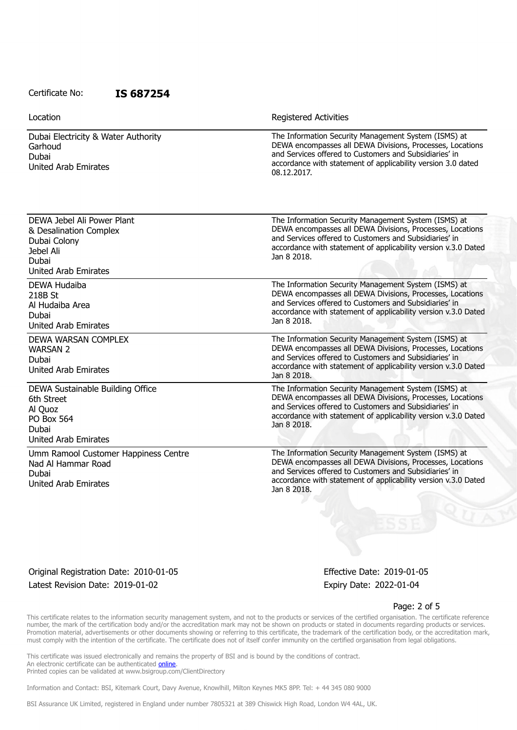Location **Exercise 2018 Location Registered Activities** 

Dubai Electricity & Water Authority Garhoud Dubai United Arab Emirates

DEWA Jebel Ali Power Plant & Desalination Complex

Dubai Colony Jebel Ali Dubai

DEWA Hudaiba 218B St

Al Hudaiba Area

Dubai

WARSAN 2 Dubai

6th Street Al Quoz PO Box 564 Dubai

Dubai

United Arab Emirates

United Arab Emirates

United Arab Emirates

United Arab Emirates

Nad Al Hammar Road

United Arab Emirates

DEWA WARSAN COMPLEX

DEWA Sustainable Building Office

Umm Ramool Customer Happiness Centre

The Information Security Management System (ISMS) at DEWA encompasses all DEWA Divisions, Processes, Locations and Services offered to Customers and Subsidiaries' in accordance with statement of applicability version 3.0 dated 08.12.2017.

The Information Security Management System (ISMS) at DEWA encompasses all DEWA Divisions, Processes, Locations and Services offered to Customers and Subsidiaries' in accordance with statement of applicability version v.3.0 Dated Jan 8 2018.

> The Information Security Management System (ISMS) at DEWA encompasses all DEWA Divisions, Processes, Locations and Services offered to Customers and Subsidiaries' in accordance with statement of applicability version v.3.0 Dated Jan 8 2018.

The Information Security Management System (ISMS) at DEWA encompasses all DEWA Divisions, Processes, Locations and Services offered to Customers and Subsidiaries' in accordance with statement of applicability version v.3.0 Dated Jan 8 2018.

> The Information Security Management System (ISMS) at DEWA encompasses all DEWA Divisions, Processes, Locations and Services offered to Customers and Subsidiaries' in accordance with statement of applicability version v.3.0 Dated Jan 8 2018.

> The Information Security Management System (ISMS) at DEWA encompasses all DEWA Divisions, Processes, Locations and Services offered to Customers and Subsidiaries' in accordance with statement of applicability version v.3.0 Dated Jan 8 2018.

Original Registration Date: 2010-01-05 Effective Date: 2019-01-05 Latest Revision Date: 2019-01-02 expiry Date: 2022-01-04

#### Page: 2 of 5

This certificate relates to the information security management system, and not to the products or services of the certified organisation. The certificate reference number, the mark of the certification body and/or the accreditation mark may not be shown on products or stated in documents regarding products or services. Promotion material, advertisements or other documents showing or referring to this certificate, the trademark of the certification body, or the accreditation mark, must comply with the intention of the certificate. The certificate does not of itself confer immunity on the certified organisation from legal obligations.

This certificate was issued electronically and remains the property of BSI and is bound by the conditions of contract. An electronic certificate can be authenticated [online](https://pgplus.bsigroup.com/CertificateValidation/CertificateValidator.aspx?CertificateNumber=IS+687254&ReIssueDate=02%2f01%2f2019&Template=cemea_en) Printed copies can be validated at www.bsigroup.com/ClientDirectory

Information and Contact: BSI, Kitemark Court, Davy Avenue, Knowlhill, Milton Keynes MK5 8PP. Tel: + 44 345 080 9000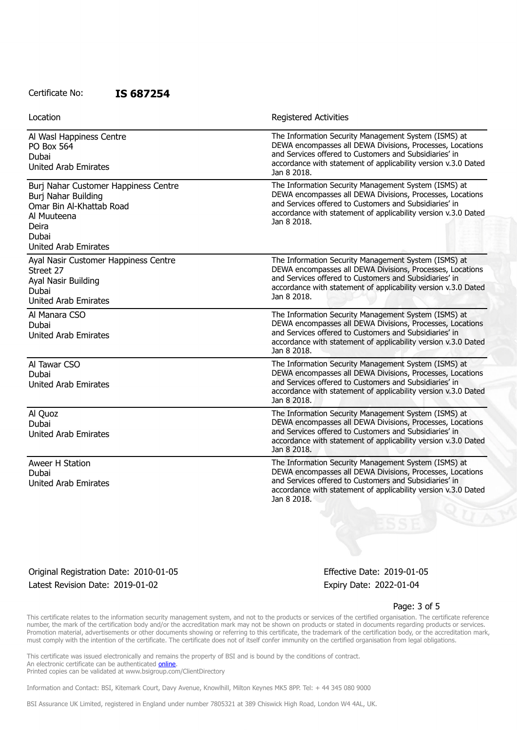| Location                                                                                                                                                | <b>Registered Activities</b>                                                                                                                                                                                                                                 |
|---------------------------------------------------------------------------------------------------------------------------------------------------------|--------------------------------------------------------------------------------------------------------------------------------------------------------------------------------------------------------------------------------------------------------------|
| Al Wasl Happiness Centre<br><b>PO Box 564</b><br>Dubai<br><b>United Arab Emirates</b>                                                                   | The Information Security Management System (ISMS) at<br>DEWA encompasses all DEWA Divisions, Processes, Locations<br>and Services offered to Customers and Subsidiaries' in<br>accordance with statement of applicability version v.3.0 Dated<br>Jan 8 2018. |
| Burj Nahar Customer Happiness Centre<br>Burj Nahar Building<br>Omar Bin Al-Khattab Road<br>Al Muuteena<br>Deira<br>Dubai<br><b>United Arab Emirates</b> | The Information Security Management System (ISMS) at<br>DEWA encompasses all DEWA Divisions, Processes, Locations<br>and Services offered to Customers and Subsidiaries' in<br>accordance with statement of applicability version v.3.0 Dated<br>Jan 8 2018. |
| Ayal Nasir Customer Happiness Centre<br>Street 27<br>Ayal Nasir Building<br>Dubai<br><b>United Arab Emirates</b>                                        | The Information Security Management System (ISMS) at<br>DEWA encompasses all DEWA Divisions, Processes, Locations<br>and Services offered to Customers and Subsidiaries' in<br>accordance with statement of applicability version v.3.0 Dated<br>Jan 8 2018. |
| Al Manara CSO<br>Dubai<br><b>United Arab Emirates</b>                                                                                                   | The Information Security Management System (ISMS) at<br>DEWA encompasses all DEWA Divisions, Processes, Locations<br>and Services offered to Customers and Subsidiaries' in<br>accordance with statement of applicability version v.3.0 Dated<br>Jan 8 2018. |
| Al Tawar CSO<br>Dubai<br><b>United Arab Emirates</b>                                                                                                    | The Information Security Management System (ISMS) at<br>DEWA encompasses all DEWA Divisions, Processes, Locations<br>and Services offered to Customers and Subsidiaries' in<br>accordance with statement of applicability version v.3.0 Dated<br>Jan 8 2018. |
| Al Quoz<br>Dubai<br><b>United Arab Emirates</b>                                                                                                         | The Information Security Management System (ISMS) at<br>DEWA encompasses all DEWA Divisions, Processes, Locations<br>and Services offered to Customers and Subsidiaries' in<br>accordance with statement of applicability version v.3.0 Dated<br>Jan 8 2018. |
| Aweer H Station<br>Dubai<br><b>United Arab Emirates</b>                                                                                                 | The Information Security Management System (ISMS) at<br>DEWA encompasses all DEWA Divisions, Processes, Locations<br>and Services offered to Customers and Subsidiaries' in<br>accordance with statement of applicability version v.3.0 Dated<br>Jan 8 2018. |

## Original Registration Date: 2010-01-05 Effective Date: 2019-01-05 Latest Revision Date: 2019-01-02 Expiry Date: 2022-01-04

#### Page: 3 of 5

This certificate relates to the information security management system, and not to the products or services of the certified organisation. The certificate reference number, the mark of the certification body and/or the accreditation mark may not be shown on products or stated in documents regarding products or services. Promotion material, advertisements or other documents showing or referring to this certificate, the trademark of the certification body, or the accreditation mark, must comply with the intention of the certificate. The certificate does not of itself confer immunity on the certified organisation from legal obligations.

This certificate was issued electronically and remains the property of BSI and is bound by the conditions of contract. An electronic certificate can be authenticated **[online](https://pgplus.bsigroup.com/CertificateValidation/CertificateValidator.aspx?CertificateNumber=IS+687254&ReIssueDate=02%2f01%2f2019&Template=cemea_en)**. Printed copies can be validated at www.bsigroup.com/ClientDirectory

Information and Contact: BSI, Kitemark Court, Davy Avenue, Knowlhill, Milton Keynes MK5 8PP. Tel: + 44 345 080 9000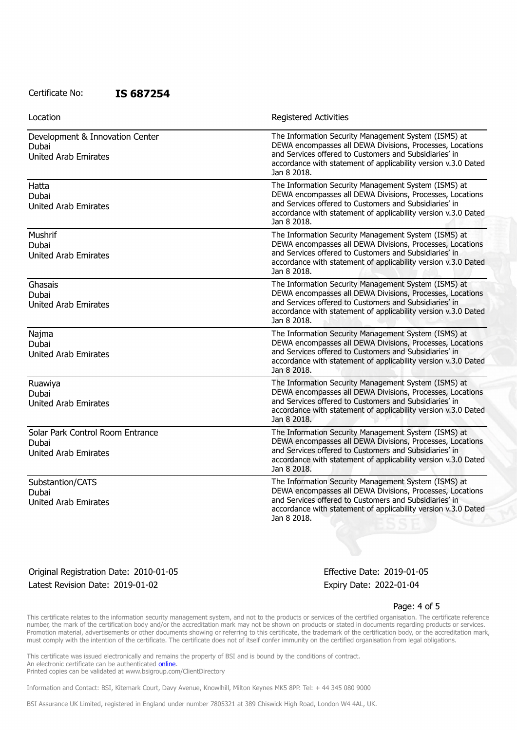| Location                                                                 | Registered Activities                                                                                                                                                                                                                                        |
|--------------------------------------------------------------------------|--------------------------------------------------------------------------------------------------------------------------------------------------------------------------------------------------------------------------------------------------------------|
| Development & Innovation Center<br>Dubai<br><b>United Arab Emirates</b>  | The Information Security Management System (ISMS) at<br>DEWA encompasses all DEWA Divisions, Processes, Locations<br>and Services offered to Customers and Subsidiaries' in<br>accordance with statement of applicability version v.3.0 Dated<br>Jan 8 2018. |
| Hatta<br>Dubai<br><b>United Arab Emirates</b>                            | The Information Security Management System (ISMS) at<br>DEWA encompasses all DEWA Divisions, Processes, Locations<br>and Services offered to Customers and Subsidiaries' in<br>accordance with statement of applicability version v.3.0 Dated<br>Jan 8 2018. |
| Mushrif<br>Dubai<br><b>United Arab Emirates</b>                          | The Information Security Management System (ISMS) at<br>DEWA encompasses all DEWA Divisions, Processes, Locations<br>and Services offered to Customers and Subsidiaries' in<br>accordance with statement of applicability version v.3.0 Dated<br>Jan 8 2018. |
| Ghasais<br>Dubai<br><b>United Arab Emirates</b>                          | The Information Security Management System (ISMS) at<br>DEWA encompasses all DEWA Divisions, Processes, Locations<br>and Services offered to Customers and Subsidiaries' in<br>accordance with statement of applicability version v.3.0 Dated<br>Jan 8 2018. |
| Najma<br>Dubai<br><b>United Arab Emirates</b>                            | The Information Security Management System (ISMS) at<br>DEWA encompasses all DEWA Divisions, Processes, Locations<br>and Services offered to Customers and Subsidiaries' in<br>accordance with statement of applicability version v.3.0 Dated<br>Jan 8 2018. |
| Ruawiya<br>Dubai<br><b>United Arab Emirates</b>                          | The Information Security Management System (ISMS) at<br>DEWA encompasses all DEWA Divisions, Processes, Locations<br>and Services offered to Customers and Subsidiaries' in<br>accordance with statement of applicability version v.3.0 Dated<br>Jan 8 2018. |
| Solar Park Control Room Entrance<br>Dubai<br><b>United Arab Emirates</b> | The Information Security Management System (ISMS) at<br>DEWA encompasses all DEWA Divisions, Processes, Locations<br>and Services offered to Customers and Subsidiaries' in<br>accordance with statement of applicability version v.3.0 Dated<br>Jan 8 2018. |
| Substantion/CATS<br>Dubai<br><b>United Arab Emirates</b>                 | The Information Security Management System (ISMS) at<br>DEWA encompasses all DEWA Divisions, Processes, Locations<br>and Services offered to Customers and Subsidiaries' in<br>accordance with statement of applicability version v.3.0 Dated<br>Jan 8 2018. |

# Original Registration Date: 2010-01-05 Effective Date: 2019-01-05 Latest Revision Date: 2019-01-02 Expiry Date: 2022-01-04

#### Page: 4 of 5

This certificate relates to the information security management system, and not to the products or services of the certified organisation. The certificate reference number, the mark of the certification body and/or the accreditation mark may not be shown on products or stated in documents regarding products or services. Promotion material, advertisements or other documents showing or referring to this certificate, the trademark of the certification body, or the accreditation mark, must comply with the intention of the certificate. The certificate does not of itself confer immunity on the certified organisation from legal obligations.

This certificate was issued electronically and remains the property of BSI and is bound by the conditions of contract. An electronic certificate can be authenticated **[online](https://pgplus.bsigroup.com/CertificateValidation/CertificateValidator.aspx?CertificateNumber=IS+687254&ReIssueDate=02%2f01%2f2019&Template=cemea_en)**. Printed copies can be validated at www.bsigroup.com/ClientDirectory

Information and Contact: BSI, Kitemark Court, Davy Avenue, Knowlhill, Milton Keynes MK5 8PP. Tel: + 44 345 080 9000